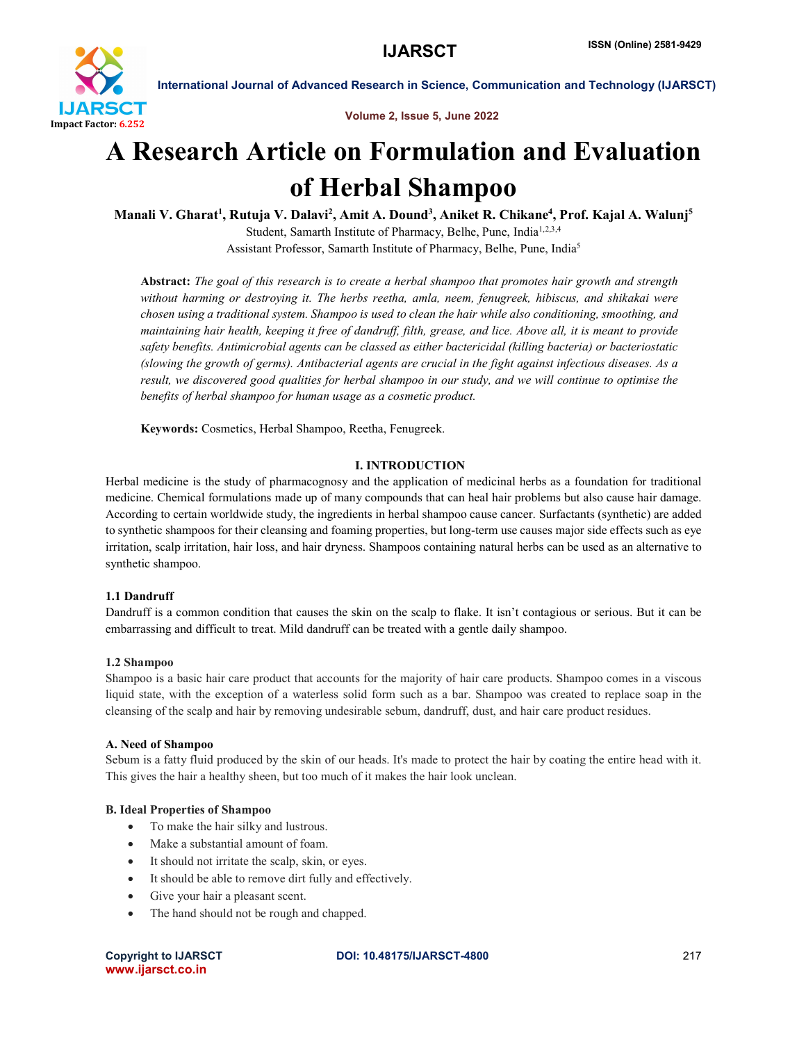

Volume 2, Issue 5, June 2022

# A Research Article on Formulation and Evaluation of Herbal Shampoo

Manali V. Gharat<sup>1</sup>, Rutuja V. Dalavi<sup>2</sup>, Amit A. Dound<sup>3</sup>, Aniket R. Chikane<sup>4</sup>, Prof. Kajal A. Walunj<sup>5</sup> Student, Samarth Institute of Pharmacy, Belhe, Pune, India<sup>1,2,3,4</sup> Assistant Professor, Samarth Institute of Pharmacy, Belhe, Pune, India5

Abstract: *The goal of this research is to create a herbal shampoo that promotes hair growth and strength without harming or destroying it. The herbs reetha, amla, neem, fenugreek, hibiscus, and shikakai were chosen using a traditional system. Shampoo is used to clean the hair while also conditioning, smoothing, and maintaining hair health, keeping it free of dandruff, filth, grease, and lice. Above all, it is meant to provide safety benefits. Antimicrobial agents can be classed as either bactericidal (killing bacteria) or bacteriostatic (slowing the growth of germs). Antibacterial agents are crucial in the fight against infectious diseases. As a result, we discovered good qualities for herbal shampoo in our study, and we will continue to optimise the benefits of herbal shampoo for human usage as a cosmetic product.*

Keywords: Cosmetics, Herbal Shampoo, Reetha, Fenugreek.

# I. INTRODUCTION

Herbal medicine is the study of pharmacognosy and the application of medicinal herbs as a foundation for traditional medicine. Chemical formulations made up of many compounds that can heal hair problems but also cause hair damage. According to certain worldwide study, the ingredients in herbal shampoo cause cancer. Surfactants (synthetic) are added to synthetic shampoos for their cleansing and foaming properties, but long-term use causes major side effects such as eye irritation, scalp irritation, hair loss, and hair dryness. Shampoos containing natural herbs can be used as an alternative to synthetic shampoo.

# 1.1 Dandruff

Dandruff is a common condition that causes the skin on the scalp to flake. It isn't contagious or serious. But it can be embarrassing and difficult to treat. Mild dandruff can be treated with a gentle daily shampoo.

#### 1.2 Shampoo

Shampoo is a basic hair care product that accounts for the majority of hair care products. Shampoo comes in a viscous liquid state, with the exception of a waterless solid form such as a bar. Shampoo was created to replace soap in the cleansing of the scalp and hair by removing undesirable sebum, dandruff, dust, and hair care product residues.

#### A. Need of Shampoo

Sebum is a fatty fluid produced by the skin of our heads. It's made to protect the hair by coating the entire head with it. This gives the hair a healthy sheen, but too much of it makes the hair look unclean.

# B. Ideal Properties of Shampoo

- To make the hair silky and lustrous.
- Make a substantial amount of foam.
- It should not irritate the scalp, skin, or eyes.
- It should be able to remove dirt fully and effectively.
- Give your hair a pleasant scent.
- The hand should not be rough and chapped.

www.ijarsct.co.in

### Copyright to IJARSCT DOI: 10.48175/IJARSCT-4800 217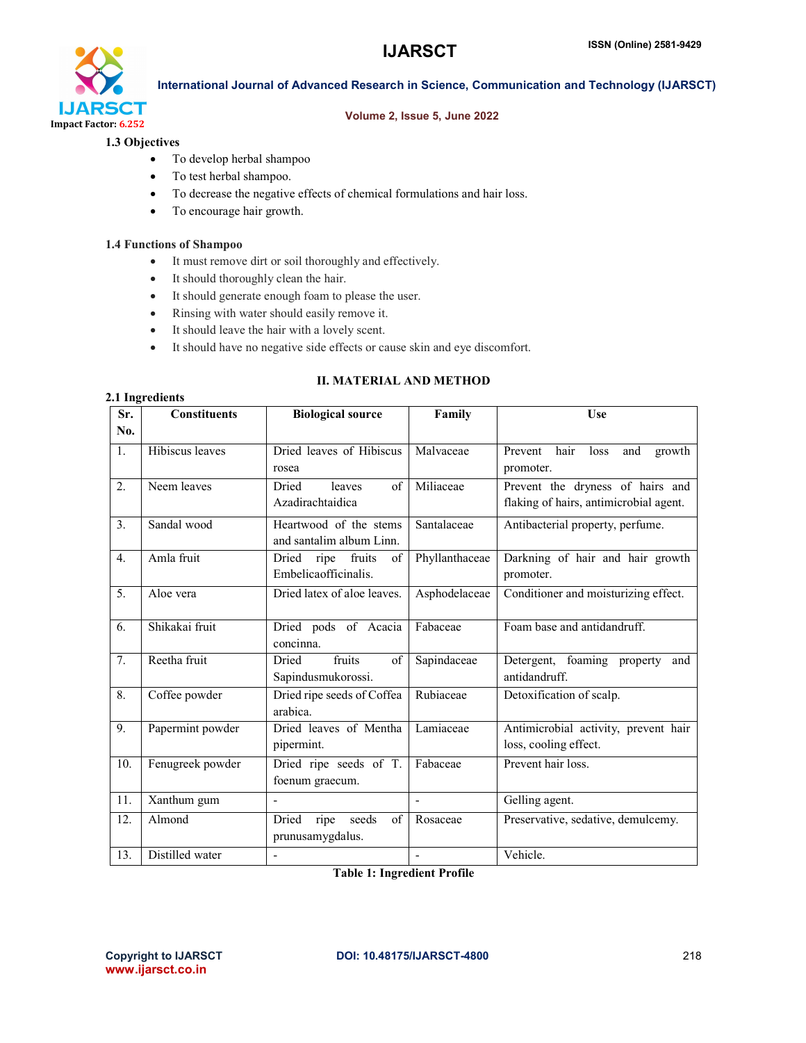

#### Volume 2, Issue 5, June 2022

### 1.3 Objectives

- To develop herbal shampoo
- To test herbal shampoo.
- To decrease the negative effects of chemical formulations and hair loss.
- To encourage hair growth.

#### 1.4 Functions of Shampoo

- It must remove dirt or soil thoroughly and effectively.
- It should thoroughly clean the hair.
- It should generate enough foam to please the user.
- Rinsing with water should easily remove it.
- It should leave the hair with a lovely scent.
- It should have no negative side effects or cause skin and eye discomfort.

| 2.1 Ingredients |  |
|-----------------|--|

# II. MATERIAL AND METHOD

| Sr.              | <b>Constituents</b>    | <b>Biological source</b>          | Family         | <b>Use</b>                               |
|------------------|------------------------|-----------------------------------|----------------|------------------------------------------|
| No.              |                        |                                   |                |                                          |
| 1.               | <b>Hibiscus</b> leaves | Dried leaves of Hibiscus          | Malvaceae      | hair<br>Prevent<br>loss<br>and<br>growth |
|                  |                        | rosea                             |                | promoter.                                |
| 2.               | Neem leaves            | of<br>Dried<br>leaves             | Miliaceae      | Prevent the dryness of hairs and         |
|                  |                        | Azadirachtaidica                  |                | flaking of hairs, antimicrobial agent.   |
| 3.               | Sandal wood            | Heartwood of the stems            | Santalaceae    | Antibacterial property, perfume.         |
|                  |                        | and santalim album Linn.          |                |                                          |
| 4.               | Amla fruit             | fruits<br>Dried<br>of<br>ripe     | Phyllanthaceae | Darkning of hair and hair growth         |
|                  |                        | Embelicaofficinalis.              |                | promoter.                                |
| $\overline{5}$ . | Aloe vera              | Dried latex of aloe leaves.       | Asphodelaceae  | Conditioner and moisturizing effect.     |
| 6.               | Shikakai fruit         |                                   | Fabaceae       | Foam base and antidandruff.              |
|                  |                        | Dried pods of Acacia<br>concinna. |                |                                          |
| $\overline{7}$ . | Reetha fruit           | fruits<br>of<br>Dried             | Sapindaceae    | Detergent, foaming property<br>and       |
|                  |                        | Sapindusmukorossi.                |                | antidandruff.                            |
| $\overline{8}$ . | Coffee powder          | Dried ripe seeds of Coffea        | Rubiaceae      | Detoxification of scalp.                 |
|                  |                        | arabica.                          |                |                                          |
| 9.               | Papermint powder       | Dried leaves of Mentha            | Lamiaceae      | Antimicrobial activity, prevent hair     |
|                  |                        | pipermint.                        |                | loss, cooling effect.                    |
| 10.              | Fenugreek powder       | Dried ripe seeds of T.            | Fabaceae       | Prevent hair loss.                       |
|                  |                        | foenum graecum.                   |                |                                          |
| 11.              | Xanthum gum            | $\blacksquare$                    | $\overline{a}$ | Gelling agent.                           |
| 12.              | Almond                 | Dried ripe seeds<br>of            | Rosaceae       | Preservative, sedative, demulcemy.       |
|                  |                        | prunusamygdalus.                  |                |                                          |
| 13.              | Distilled water        |                                   |                | Vehicle.                                 |

Table 1: Ingredient Profile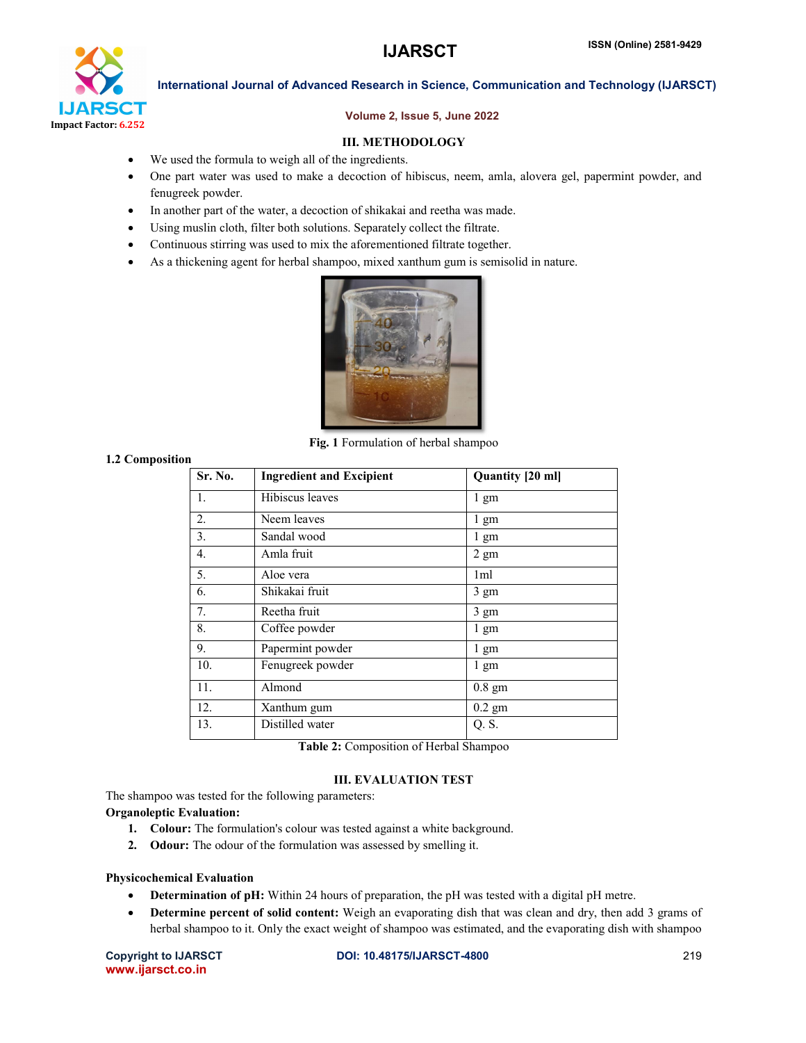

### Volume 2, Issue 5, June 2022

# III. METHODOLOGY

- We used the formula to weigh all of the ingredients.
- One part water was used to make a decoction of hibiscus, neem, amla, alovera gel, papermint powder, and fenugreek powder.
- In another part of the water, a decoction of shikakai and reetha was made.
- Using muslin cloth, filter both solutions. Separately collect the filtrate.
- Continuous stirring was used to mix the aforementioned filtrate together.
- As a thickening agent for herbal shampoo, mixed xanthum gum is semisolid in nature.



Fig. 1 Formulation of herbal shampoo

#### 1.2 Composition

| Sr. No.          | <b>Ingredient and Excipient</b> | Quantity [20 ml] |
|------------------|---------------------------------|------------------|
| 1.               | Hibiscus leaves                 | $1 \text{ gm}$   |
| 2.               | Neem leaves                     | 1 gm             |
| 3.               | Sandal wood                     | 1 gm             |
| $\overline{4}$ . | Amla fruit                      | $2 \text{ gm}$   |
| 5.               | Aloe vera                       | 1 <sub>ml</sub>  |
| 6.               | Shikakai fruit                  | 3 gm             |
| 7.               | Reetha fruit                    | 3 gm             |
| 8.               | Coffee powder                   | $1 \text{ gm}$   |
| 9.               | Papermint powder                | 1 gm             |
| 10.              | Fenugreek powder                | 1 gm             |
| 11.              | Almond                          | $0.8$ gm         |
| 12.              | Xanthum gum                     | $0.2$ gm         |
| 13.              | Distilled water                 | Q.S.             |

Table 2: Composition of Herbal Shampoo

# III. EVALUATION TEST

The shampoo was tested for the following parameters:

#### Organoleptic Evaluation:

- 1. Colour: The formulation's colour was tested against a white background.
- 2. Odour: The odour of the formulation was assessed by smelling it.

#### Physicochemical Evaluation

- Determination of pH: Within 24 hours of preparation, the pH was tested with a digital pH metre.
- Determine percent of solid content: Weigh an evaporating dish that was clean and dry, then add 3 grams of herbal shampoo to it. Only the exact weight of shampoo was estimated, and the evaporating dish with shampoo

www.ijarsct.co.in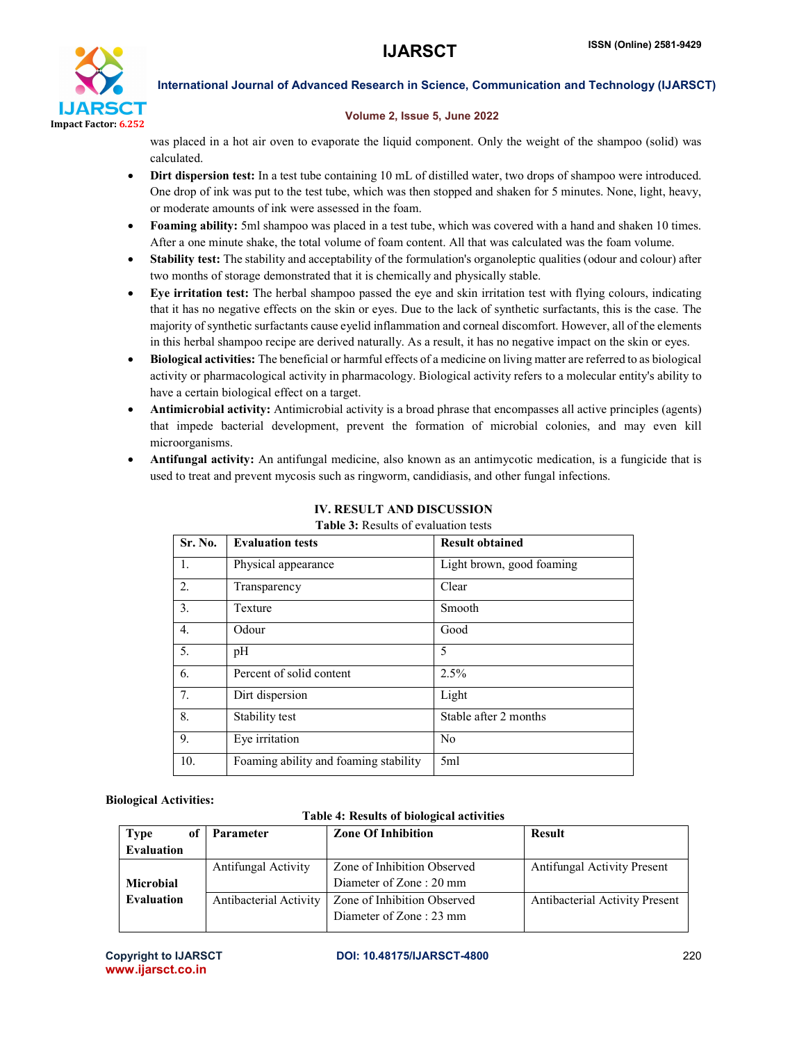

#### Volume 2, Issue 5, June 2022

was placed in a hot air oven to evaporate the liquid component. Only the weight of the shampoo (solid) was calculated.

- Dirt dispersion test: In a test tube containing 10 mL of distilled water, two drops of shampoo were introduced. One drop of ink was put to the test tube, which was then stopped and shaken for 5 minutes. None, light, heavy, or moderate amounts of ink were assessed in the foam.
- Foaming ability: 5ml shampoo was placed in a test tube, which was covered with a hand and shaken 10 times. After a one minute shake, the total volume of foam content. All that was calculated was the foam volume.
- Stability test: The stability and acceptability of the formulation's organoleptic qualities (odour and colour) after two months of storage demonstrated that it is chemically and physically stable.
- Eye irritation test: The herbal shampoo passed the eye and skin irritation test with flying colours, indicating that it has no negative effects on the skin or eyes. Due to the lack of synthetic surfactants, this is the case. The majority of synthetic surfactants cause eyelid inflammation and corneal discomfort. However, all of the elements in this herbal shampoo recipe are derived naturally. As a result, it has no negative impact on the skin or eyes.
- Biological activities: The beneficial or harmful effects of a medicine on living matter are referred to as biological activity or pharmacological activity in pharmacology. Biological activity refers to a molecular entity's ability to have a certain biological effect on a target.
- Antimicrobial activity: Antimicrobial activity is a broad phrase that encompasses all active principles (agents) that impede bacterial development, prevent the formation of microbial colonies, and may even kill microorganisms.
- Antifungal activity: An antifungal medicine, also known as an antimycotic medication, is a fungicide that is used to treat and prevent mycosis such as ringworm, candidiasis, and other fungal infections.

| Sr. No.          | <b>Evaluation tests</b>               | <b>Result obtained</b>    |
|------------------|---------------------------------------|---------------------------|
| -1.              | Physical appearance                   | Light brown, good foaming |
| 2.               | Transparency                          | Clear                     |
| 3.               | Texture                               | Smooth                    |
| $\overline{4}$ . | Odour                                 | Good                      |
| 5.               | pH                                    | 5                         |
| 6.               | Percent of solid content              | 2.5%                      |
| 7 <sub>1</sub>   | Dirt dispersion                       | Light                     |
| 8.               | Stability test                        | Stable after 2 months     |
| 9.               | Eye irritation                        | N <sub>0</sub>            |
| 10.              | Foaming ability and foaming stability | 5ml                       |

# IV. RESULT AND DISCUSSION

#### Table 3: Results of evaluation tests

# Biological Activities:

#### Table 4: Results of biological activities

| оf<br><b>Type</b> | <b>Parameter</b>       | <b>Zone Of Inhibition</b>   | <b>Result</b>                         |
|-------------------|------------------------|-----------------------------|---------------------------------------|
| <b>Evaluation</b> |                        |                             |                                       |
|                   | Antifungal Activity    | Zone of Inhibition Observed | <b>Antifungal Activity Present</b>    |
| <b>Microbial</b>  |                        | Diameter of Zone: 20 mm     |                                       |
| <b>Evaluation</b> | Antibacterial Activity | Zone of Inhibition Observed | <b>Antibacterial Activity Present</b> |
|                   |                        | Diameter of Zone : 23 mm    |                                       |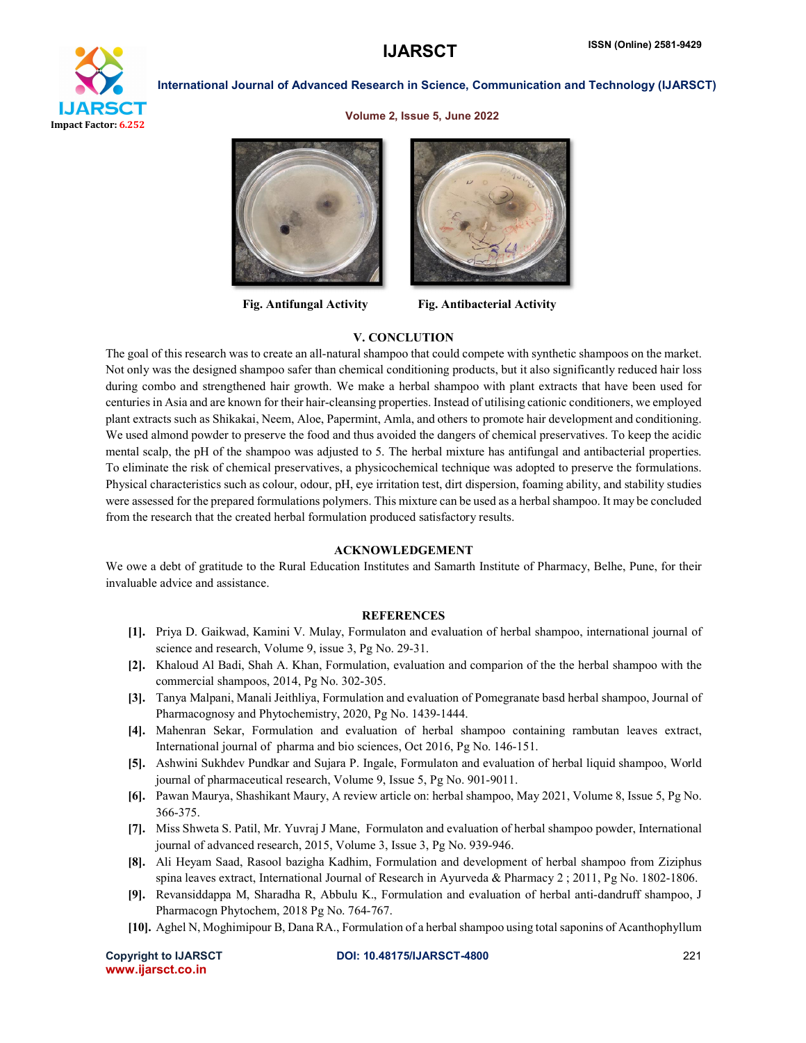

Volume 2, Issue 5, June 2022





Fig. Antifungal Activity Fig. Antibacterial Activity

#### V. CONCLUTION

The goal of this research was to create an all-natural shampoo that could compete with synthetic shampoos on the market. Not only was the designed shampoo safer than chemical conditioning products, but it also significantly reduced hair loss during combo and strengthened hair growth. We make a herbal shampoo with plant extracts that have been used for centuries in Asia and are known for their hair-cleansing properties. Instead of utilising cationic conditioners, we employed plant extracts such as Shikakai, Neem, Aloe, Papermint, Amla, and others to promote hair development and conditioning. We used almond powder to preserve the food and thus avoided the dangers of chemical preservatives. To keep the acidic mental scalp, the pH of the shampoo was adjusted to 5. The herbal mixture has antifungal and antibacterial properties. To eliminate the risk of chemical preservatives, a physicochemical technique was adopted to preserve the formulations. Physical characteristics such as colour, odour, pH, eye irritation test, dirt dispersion, foaming ability, and stability studies were assessed for the prepared formulations polymers. This mixture can be used as a herbal shampoo. It may be concluded from the research that the created herbal formulation produced satisfactory results.

#### ACKNOWLEDGEMENT

We owe a debt of gratitude to the Rural Education Institutes and Samarth Institute of Pharmacy, Belhe, Pune, for their invaluable advice and assistance.

#### **REFERENCES**

- [1]. Priya D. Gaikwad, Kamini V. Mulay, Formulaton and evaluation of herbal shampoo, international journal of science and research, Volume 9, issue 3, Pg No. 29-31.
- [2]. Khaloud Al Badi, Shah A. Khan, Formulation, evaluation and comparion of the the herbal shampoo with the commercial shampoos, 2014, Pg No. 302-305.
- [3]. Tanya Malpani, Manali Jeithliya, Formulation and evaluation of Pomegranate basd herbal shampoo, Journal of Pharmacognosy and Phytochemistry, 2020, Pg No. 1439-1444.
- [4]. Mahenran Sekar, Formulation and evaluation of herbal shampoo containing rambutan leaves extract, International journal of pharma and bio sciences, Oct 2016, Pg No. 146-151.
- [5]. Ashwini Sukhdev Pundkar and Sujara P. Ingale, Formulaton and evaluation of herbal liquid shampoo, World journal of pharmaceutical research, Volume 9, Issue 5, Pg No. 901-9011.
- [6]. Pawan Maurya, Shashikant Maury, A review article on: herbal shampoo, May 2021, Volume 8, Issue 5, Pg No. 366-375.
- [7]. Miss Shweta S. Patil, Mr. Yuvraj J Mane, Formulaton and evaluation of herbal shampoo powder, International journal of advanced research, 2015, Volume 3, Issue 3, Pg No. 939-946.
- [8]. Ali Heyam Saad, Rasool bazigha Kadhim, Formulation and development of herbal shampoo from Ziziphus spina leaves extract, International Journal of Research in Ayurveda & Pharmacy 2 ; 2011, Pg No. 1802-1806.
- [9]. Revansiddappa M, Sharadha R, Abbulu K., Formulation and evaluation of herbal anti-dandruff shampoo, J Pharmacogn Phytochem, 2018 Pg No. 764-767.
- [10]. Aghel N, Moghimipour B, Dana RA., Formulation of a herbal shampoo using total saponins of Acanthophyllum

```
www.ijarsct.co.in
```